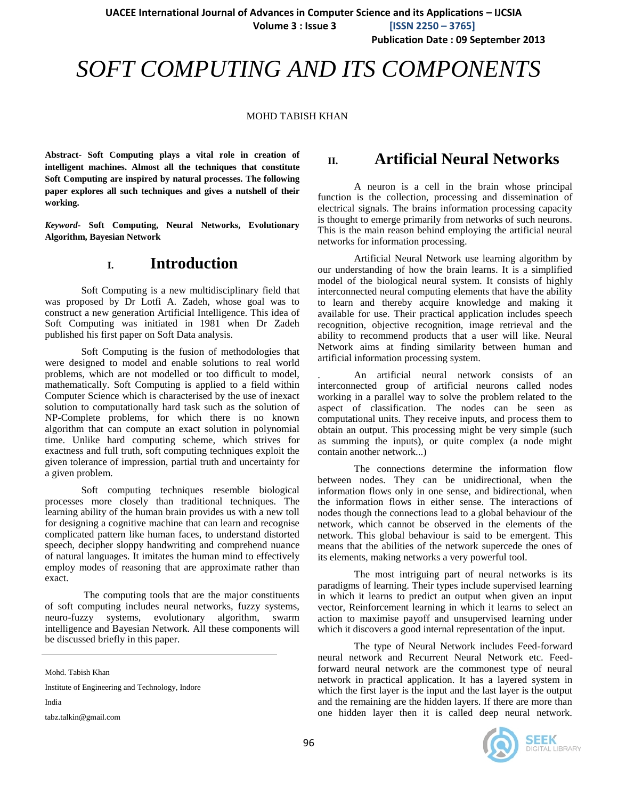**Publication Date : 09 September 2013**

# *SOFT COMPUTING AND ITS COMPONENTS*

#### MOHD TABISH KHAN

**Abstract- Soft Computing plays a vital role in creation of intelligent machines. Almost all the techniques that constitute Soft Computing are inspired by natural processes. The following paper explores all such techniques and gives a nutshell of their working.** 

*Keyword***- Soft Computing, Neural Networks, Evolutionary Algorithm, Bayesian Network**

### **I. Introduction**

Soft Computing is a new multidisciplinary field that was proposed by Dr Lotfi A. Zadeh, whose goal was to construct a new generation Artificial Intelligence. This idea of Soft Computing was initiated in 1981 when Dr Zadeh published his first paper on Soft Data analysis.

Soft Computing is the fusion of methodologies that were designed to model and enable solutions to real world problems, which are not modelled or too difficult to model, mathematically. Soft Computing is applied to a field within Computer Science which is characterised by the use of inexact solution to computationally hard task such as the solution of NP-Complete problems, for which there is no known algorithm that can compute an exact solution in polynomial time. Unlike hard computing scheme, which strives for exactness and full truth, soft computing techniques exploit the given tolerance of impression, partial truth and uncertainty for a given problem.

Soft computing techniques resemble biological processes more closely than traditional techniques. The learning ability of the human brain provides us with a new toll for designing a cognitive machine that can learn and recognise complicated pattern like human faces, to understand distorted speech, decipher sloppy handwriting and comprehend nuance of natural languages. It imitates the human mind to effectively employ modes of reasoning that are approximate rather than exact.

The computing tools that are the major constituents of soft computing includes neural networks, fuzzy systems, neuro-fuzzy systems, evolutionary algorithm, swarm intelligence and Bayesian Network. All these components will be discussed briefly in this paper.

Mohd. Tabish Khan

Institute of Engineering and Technology, Indore

India

j

tabz.talkin@gmail.com

# **II. Artificial Neural Networks**

A neuron is a cell in the brain whose principal function is the collection, processing and dissemination of electrical signals. The brains information processing capacity is thought to emerge primarily from networks of such neurons. This is the main reason behind employing the artificial neural networks for information processing.

Artificial Neural Network use learning algorithm by our understanding of how the brain learns. It is a simplified model of the biological neural system. It consists of highly interconnected neural computing elements that have the ability to learn and thereby acquire knowledge and making it available for use. Their practical application includes speech recognition, objective recognition, image retrieval and the ability to recommend products that a user will like. Neural Network aims at finding similarity between human and artificial information processing system.

. An artificial neural network consists of an interconnected group of artificial neurons called nodes working in a parallel way to solve the problem related to the aspect of classification. The nodes can be seen as computational units. They receive inputs, and process them to obtain an output. This processing might be very simple (such as summing the inputs), or quite complex (a node might contain another network...)

The connections determine the information flow between nodes. They can be unidirectional, when the information flows only in one sense, and bidirectional, when the information flows in either sense. The interactions of nodes though the connections lead to a global behaviour of the network, which cannot be observed in the elements of the network. This global behaviour is said to be emergent. This means that the abilities of the network supercede the ones of its elements, making networks a very powerful tool.

The most intriguing part of neural networks is its paradigms of learning. Their types include supervised learning in which it learns to predict an output when given an input vector, Reinforcement learning in which it learns to select an action to maximise payoff and unsupervised learning under which it discovers a good internal representation of the input.

The type of Neural Network includes Feed-forward neural network and Recurrent Neural Network etc. Feedforward neural network are the commonest type of neural network in practical application. It has a layered system in which the first layer is the input and the last layer is the output and the remaining are the hidden layers. If there are more than one hidden layer then it is called deep neural network.

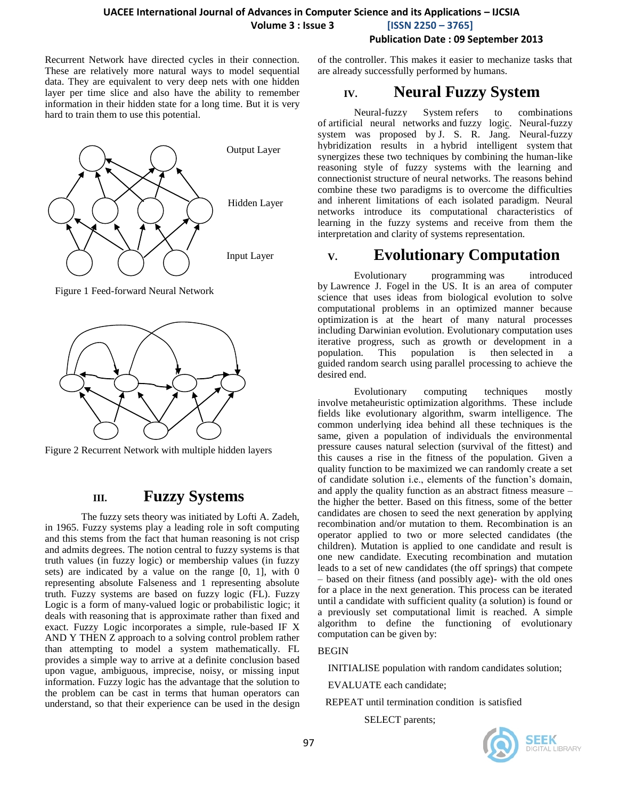**Publication Date : 09 September 2013**

Recurrent Network have directed cycles in their connection. These are relatively more natural ways to model sequential data. They are equivalent to very deep nets with one hidden layer per time slice and also have the ability to remember information in their hidden state for a long time. But it is very hard to train them to use this potential.



Figure 1 Feed-forward Neural Network



Figure 2 Recurrent Network with multiple hidden layers

### **III. Fuzzy Systems**

The fuzzy sets theory was initiated by Lofti A. Zadeh, in 1965. Fuzzy systems play a leading role in soft computing and this stems from the fact that human reasoning is not crisp and admits degrees. The notion central to fuzzy systems is that truth values (in fuzzy logic) or membership values (in fuzzy sets) are indicated by a value on the range [0, 1], with 0 representing absolute Falseness and 1 representing absolute truth. Fuzzy systems are based on fuzzy logic (FL). Fuzzy Logic is a form of [many-valued logic](http://en.wikipedia.org/wiki/Many-valued_logic) or [probabilistic logic;](http://en.wikipedia.org/wiki/Probabilistic_logic) it deals with [reasoning](http://en.wikipedia.org/wiki/Reasoning) that is approximate rather than fixed and exact. Fuzzy Logic incorporates a simple, rule-based IF X AND Y THEN Z approach to a solving control problem rather than attempting to model a system mathematically. FL provides a simple way to arrive at a definite conclusion based upon vague, ambiguous, imprecise, noisy, or missing input information. Fuzzy logic has the advantage that the solution to the problem can be cast in terms that human operators can understand, so that their experience can be used in the design

of the controller. This makes it easier to mechanize tasks that are already successfully performed by humans.

# **IV. Neural Fuzzy System**

Neural-fuzzy System refers to combinations of [artificial neural networks](http://en.wikipedia.org/wiki/Artificial_neural_network) and [fuzzy logic.](http://en.wikipedia.org/wiki/Fuzzy_logic) Neural-fuzzy system was proposed by [J. S. R. Jang.](http://en.wikipedia.org/w/index.php?title=J._S._R._Jang&action=edit&redlink=1) Neural-fuzzy hybridization results in a [hybrid intelligent system](http://en.wikipedia.org/wiki/Hybrid_intelligent_system) that synergizes these two techniques by combining the human-like reasoning style of fuzzy systems with the learning and [connectionist](http://en.wikipedia.org/wiki/Connectionism) structure of neural networks. The reasons behind combine these two paradigms is to overcome the difficulties and inherent limitations of each isolated paradigm. Neural networks introduce its computational characteristics of learning in the fuzzy systems and receive from them the interpretation and clarity of systems representation.

# **V. Evolutionary Computation**

[Evolutionary programming](http://en.wikipedia.org/wiki/Evolutionary_programming) was introduced by [Lawrence J. Fogel](http://en.wikipedia.org/wiki/Lawrence_J._Fogel) in the US. It is an area of computer science that uses ideas from biological evolution to solve computational problems in an optimized manner because optimization is at the heart of many natural processes including Darwinian evolution. Evolutionary computation uses iterative progress, such as growth or development in a This population is then [selected](http://en.wikipedia.org/wiki/Artificial_selection) in a guided [random](http://en.wikipedia.org/wiki/Random) search using [parallel processing](http://en.wikipedia.org/wiki/Parallel_processing) to achieve the desired end.

Evolutionary computing techniques mostly involve [metaheuristic](http://en.wikipedia.org/wiki/Metaheuristic) [optimization](http://en.wikipedia.org/wiki/Optimization_(computer_science)) [algorithms.](http://en.wikipedia.org/wiki/Algorithm) These include fields like evolutionary algorithm, swarm intelligence. The common underlying idea behind all these techniques is the same, given a population of individuals the environmental pressure causes natural selection (survival of the fittest) and this causes a rise in the fitness of the population. Given a quality function to be maximized we can randomly create a set of candidate solution i.e., elements of the function's domain, and apply the quality function as an abstract fitness measure – the higher the better. Based on this fitness, some of the better candidates are chosen to seed the next generation by applying recombination and/or mutation to them. Recombination is an operator applied to two or more selected candidates (the children). Mutation is applied to one candidate and result is one new candidate. Executing recombination and mutation leads to a set of new candidates (the off springs) that compete – based on their fitness (and possibly age)- with the old ones for a place in the next generation. This process can be iterated until a candidate with sufficient quality (a solution) is found or a previously set computational limit is reached. A simple algorithm to define the functioning of evolutionary computation can be given by:

#### BEGIN

INITIALISE population with random candidates solution;

EVALUATE each candidate;

REPEAT until termination condition is satisfied

SELECT parents;

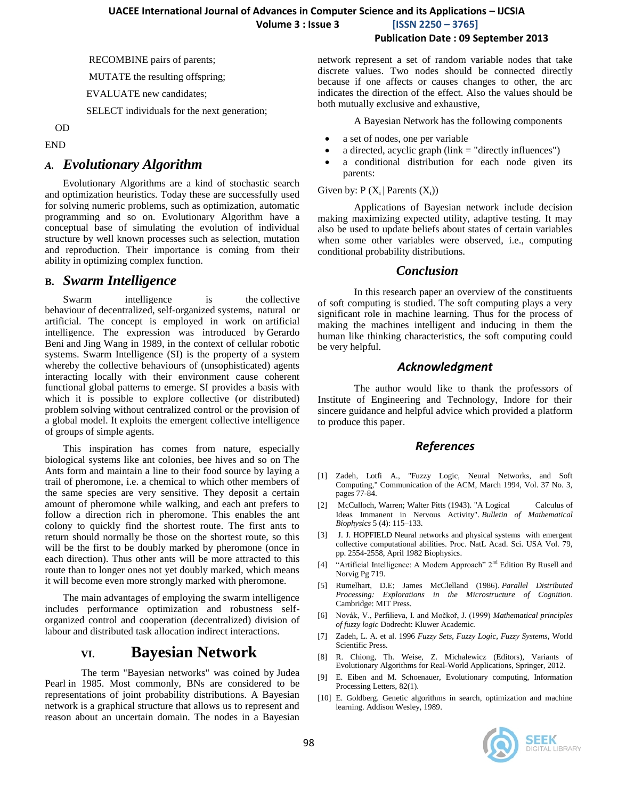**Publication Date : 09 September 2013**

RECOMBINE pairs of parents;

MUTATE the resulting offspring;

EVALUATE new candidates;

SELECT individuals for the next generation;

#### OD

#### END

#### *A. Evolutionary Algorithm*

Evolutionary Algorithms are a kind of stochastic search and optimization heuristics. Today these are successfully used for solving numeric problems, such as optimization, automatic programming and so on. Evolutionary Algorithm have a conceptual base of simulating the evolution of individual structure by well known processes such as selection, mutation and reproduction. Their importance is coming from their ability in optimizing complex function.

#### **B.** *Swarm Intelligence*

Swarm intelligence is the collective [behaviour](http://en.wikipedia.org/wiki/Collective_behavior) of [decentralized,](http://en.wikipedia.org/wiki/Decentralization) [self-organized](http://en.wikipedia.org/wiki/Self-organization) systems, natural or artificial. The concept is employed in work on [artificial](http://en.wikipedia.org/wiki/Artificial_intelligence)  [intelligence.](http://en.wikipedia.org/wiki/Artificial_intelligence) The expression was introduced by [Gerardo](http://en.wikipedia.org/wiki/Gerardo_Beni)  [Beni](http://en.wikipedia.org/wiki/Gerardo_Beni) and Jing Wang in 1989, in the context of cellular robotic systems. Swarm Intelligence (SI) is the property of a system whereby the collective behaviours of (unsophisticated) agents interacting locally with their environment cause coherent functional global patterns to emerge. SI provides a basis with which it is possible to explore collective (or distributed) problem solving without centralized control or the provision of a global model. It exploits the emergent collective intelligence of groups of simple agents.

This inspiration has comes from nature, especially biological systems like ant colonies, bee hives and so on The Ants form and maintain a line to their food source by laying a trail of pheromone, i.e. a chemical to which other members of the same species are very sensitive. They deposit a certain amount of pheromone while walking, and each ant prefers to follow a direction rich in pheromone. This enables the ant colony to quickly find the shortest route. The first ants to return should normally be those on the shortest route, so this will be the first to be doubly marked by pheromone (once in each direction). Thus other ants will be more attracted to this route than to longer ones not yet doubly marked, which means it will become even more strongly marked with pheromone.

The main advantages of employing the swarm intelligence includes performance optimization and robustness selforganized control and cooperation (decentralized) division of labour and distributed task allocation indirect interactions.

### **VI. Bayesian Network**

The term "Bayesian networks" was coined by [Judea](http://en.wikipedia.org/wiki/Judea_Pearl)  [Pearl](http://en.wikipedia.org/wiki/Judea_Pearl) in 1985. Most commonly, BNs are considered to be representations of joint probability distributions. A Bayesian network is a graphical structure that allows us to represent and reason about an uncertain domain. The nodes in a Bayesian network represent a set of random variable nodes that take discrete values. Two nodes should be connected directly because if one affects or causes changes to other, the arc indicates the direction of the effect. Also the values should be both mutually exclusive and exhaustive,

A Bayesian Network has the following components

- a set of nodes, one per variable
- a directed, acyclic graph  $(\text{link} = \text{"directly influences"})$
- a conditional distribution for each node given its parents:

#### Given by:  $P(X_i | Parents(X_i))$

Applications of Bayesian network include decision making maximizing expected utility, adaptive testing. It may also be used to update beliefs about states of certain variables when some other variables were observed, i.e., computing conditional probability distributions.

#### *Conclusion*

In this research paper an overview of the constituents of soft computing is studied. The soft computing plays a very significant role in machine learning. Thus for the process of making the machines intelligent and inducing in them the human like thinking characteristics, the soft computing could be very helpful.

#### *Acknowledgment*

The author would like to thank the professors of Institute of Engineering and Technology, Indore for their sincere guidance and helpful advice which provided a platform to produce this paper.

#### *References*

- [1] Zadeh, Lotfi A., "Fuzzy Logic, Neural Networks, and Soft Computing," Communication of the ACM, March 1994, Vol. 37 No. 3, pages 77-84.
- [2] McCulloch, Warren; Walter Pitts (1943). "A Logical Calculus of Ideas Immanent in Nervous Activity". *Bulletin of Mathematical Biophysics* 5 (4): 115–133.
- [3] J. J. HOPFIELD Neural networks and physical systems with emergent collective computational abilities. Proc. NatL Acad. Sci. USA Vol. 79, pp. 2554-2558, April 1982 Biophysics.
- [4] "Artificial Intelligence: A Modern Approach"  $2<sup>nd</sup>$  Edition By Rusell and Norvig Pg 719.
- [5] Rumelhart, D.E; James McClelland (1986). *Parallel Distributed Processing: Explorations in the Microstructure of Cognition*. Cambridge: MIT Press.
- [6] Novák, V., Perfilieva, I. and Močkoř, J. (1999) *Mathematical principles of fuzzy logic* Dodrecht: Kluwer Academic.
- [7] Zadeh, L. A. et al. 1996 *Fuzzy Sets, Fuzzy Logic, Fuzzy Systems*, World Scientific Press.
- [8] R. Chiong, Th. Weise, [Z. Michalewicz](http://en.wikipedia.org/wiki/Zbigniew_Michalewicz) (Editors), [Variants of](http://www.springer.com/engineering/computational+intelligence+and+complexity/book/978-3-642-23423-1)  [Evolutionary Algorithms for Real-World Applications,](http://www.springer.com/engineering/computational+intelligence+and+complexity/book/978-3-642-23423-1) [Springer,](http://en.wikipedia.org/wiki/Springer_Publishing) 2012.
- [9] E. Eiben and M. Schoenauer, Evolutionary computing, Information Processing Letters, 82(1).
- [10] E. Goldberg. Genetic algorithms in search, optimization and machine learning. Addison Wesley, 1989.